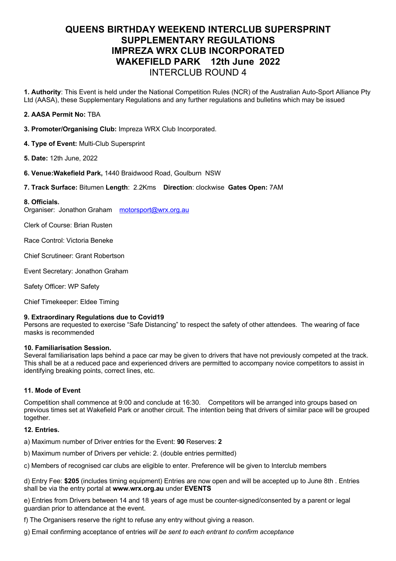# **QUEENS BIRTHDAY WEEKEND INTERCLUB SUPERSPRINT SUPPLEMENTARY REGULATIONS IMPREZA WRX CLUB INCORPORATED WAKEFIELD PARK 12th June 2022** INTERCLUB ROUND 4

**1. Authority**: This Event is held under the National Competition Rules (NCR) of the Australian Auto-Sport Alliance Pty Ltd (AASA), these Supplementary Regulations and any further regulations and bulletins which may be issued

# **2. AASA Permit No:** TBA

- **3. Promoter/Organising Club:** Impreza WRX Club Incorporated.
- **4. Type of Event:** Multi-Club Supersprint
- **5. Date:** 12th June, 2022
- **6. Venue:Wakefield Park,** 1440 Braidwood Road, Goulburn NSW
- **7. Track Surface:** Bitumen **Length**: 2.2Kms **Direction**: clockwise **Gates Open:** 7AM

#### **8. Officials.**

Organiser: Jonathon Graham motorsport@wrx.org.au

Clerk of Course: Brian Rusten

Race Control: Victoria Beneke

Chief Scrutineer: Grant Robertson

Event Secretary: Jonathon Graham

Safety Officer: WP Safety

Chief Timekeeper: Eldee Timing

#### **9. Extraordinary Regulations due to Covid19**

Persons are requested to exercise "Safe Distancing" to respect the safety of other attendees. The wearing of face masks is recommended

#### **10. Familiarisation Session.**

Several familiarisation laps behind a pace car may be given to drivers that have not previously competed at the track. This shall be at a reduced pace and experienced drivers are permitted to accompany novice competitors to assist in identifying breaking points, correct lines, etc.

# **11. Mode of Event**

Competition shall commence at 9:00 and conclude at 16:30. Competitors will be arranged into groups based on previous times set at Wakefield Park or another circuit. The intention being that drivers of similar pace will be grouped together.

#### **12. Entries.**

a) Maximum number of Driver entries for the Event: **90** Reserves: **2**

- b) Maximum number of Drivers per vehicle: 2. (double entries permitted)
- c) Members of recognised car clubs are eligible to enter. Preference will be given to Interclub members

d) Entry Fee: **\$205** (includes timing equipment) Entries are now open and will be accepted up to June 8th . Entries shall be via the entry portal at **www.wrx.org.au** under **EVENTS**

e) Entries from Drivers between 14 and 18 years of age must be counter-signed/consented by a parent or legal guardian prior to attendance at the event.

f) The Organisers reserve the right to refuse any entry without giving a reason.

g) Email confirming acceptance of entries *will be sent to each entrant to confirm acceptance*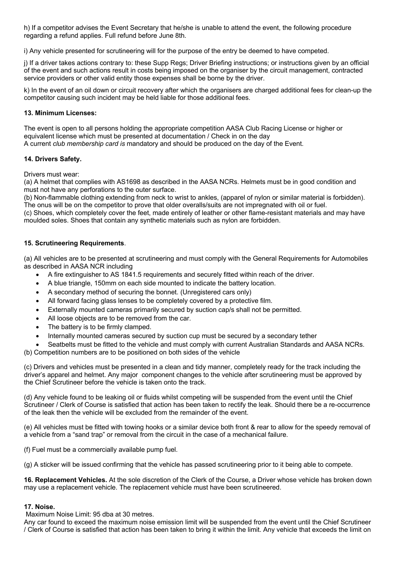h) If a competitor advises the Event Secretary that he/she is unable to attend the event, the following procedure regarding a refund applies. Full refund before June 8th.

i) Any vehicle presented for scrutineering will for the purpose of the entry be deemed to have competed.

j) If a driver takes actions contrary to: these Supp Regs; Driver Briefing instructions; or instructions given by an official of the event and such actions result in costs being imposed on the organiser by the circuit management, contracted service providers or other valid entity those expenses shall be borne by the driver.

k) In the event of an oil down or circuit recovery after which the organisers are charged additional fees for clean-up the competitor causing such incident may be held liable for those additional fees.

## **13. Minimum Licenses:**

The event is open to all persons holding the appropriate competition AASA Club Racing License or higher or equivalent license which must be presented at documentation / Check in on the day A current *club membership card is* mandatory and should be produced on the day of the Event.

# **14. Drivers Safety.**

Drivers must wear:

(a) A helmet that complies with AS1698 as described in the AASA NCRs. Helmets must be in good condition and must not have any perforations to the outer surface.

(b) Non-flammable clothing extending from neck to wrist to ankles, (apparel of nylon or similar material is forbidden). The onus will be on the competitor to prove that older overalls/suits are not impregnated with oil or fuel.

(c) Shoes, which completely cover the feet, made entirely of leather or other flame-resistant materials and may have moulded soles. Shoes that contain any synthetic materials such as nylon are forbidden.

## **15. Scrutineering Requirements**.

(a) All vehicles are to be presented at scrutineering and must comply with the General Requirements for Automobiles as described in AASA NCR including

- A fire extinguisher to AS 1841.5 requirements and securely fitted within reach of the driver.
- A blue triangle, 150mm on each side mounted to indicate the battery location.
- A secondary method of securing the bonnet. (Unregistered cars only)
- All forward facing glass lenses to be completely covered by a protective film.
- Externally mounted cameras primarily secured by suction cap/s shall not be permitted.
- All loose objects are to be removed from the car.
- The battery is to be firmly clamped.
- Internally mounted cameras secured by suction cup must be secured by a secondary tether
- Seatbelts must be fitted to the vehicle and must comply with current Australian Standards and AASA NCRs.
- (b) Competition numbers are to be positioned on both sides of the vehicle

(c) Drivers and vehicles must be presented in a clean and tidy manner, completely ready for the track including the driver's apparel and helmet. Any major component changes to the vehicle after scrutineering must be approved by the Chief Scrutineer before the vehicle is taken onto the track.

(d) Any vehicle found to be leaking oil or fluids whilst competing will be suspended from the event until the Chief Scrutineer / Clerk of Course is satisfied that action has been taken to rectify the leak. Should there be a re-occurrence of the leak then the vehicle will be excluded from the remainder of the event.

(e) All vehicles must be fitted with towing hooks or a similar device both front & rear to allow for the speedy removal of a vehicle from a "sand trap" or removal from the circuit in the case of a mechanical failure.

(f) Fuel must be a commercially available pump fuel.

(g) A sticker will be issued confirming that the vehicle has passed scrutineering prior to it being able to compete.

**16. Replacement Vehicles.** At the sole discretion of the Clerk of the Course, a Driver whose vehicle has broken down may use a replacement vehicle. The replacement vehicle must have been scrutineered.

# **17. Noise.**

Maximum Noise Limit: 95 dba at 30 metres.

Any car found to exceed the maximum noise emission limit will be suspended from the event until the Chief Scrutineer / Clerk of Course is satisfied that action has been taken to bring it within the limit. Any vehicle that exceeds the limit on